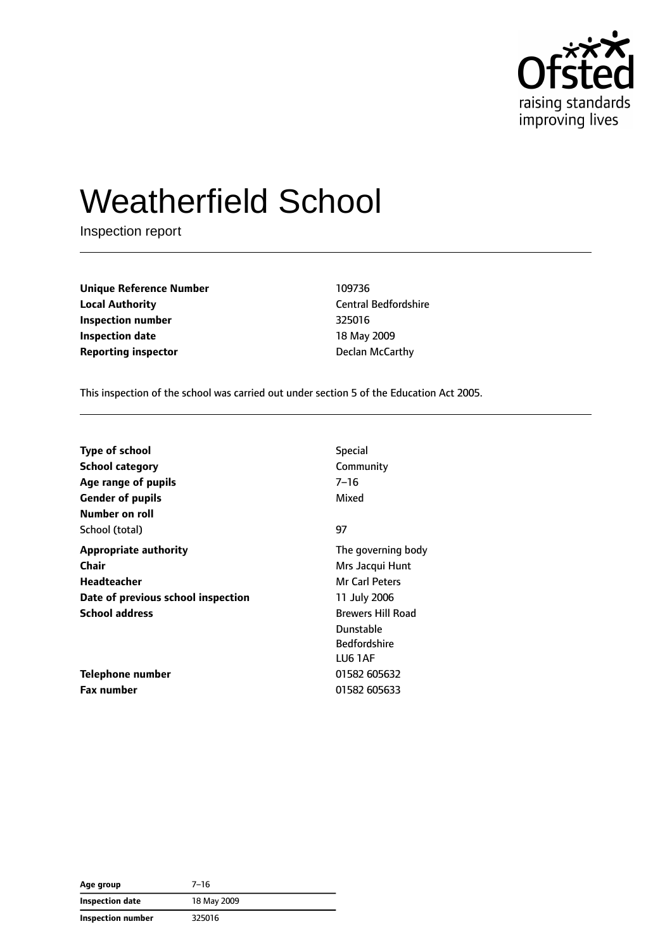

# Weatherfield School

Inspection report

**Unique Reference Number** 109736 **Local Authority** Central Bedfordshire **Inspection number** 325016 **Inspection date** 18 May 2009 **Reporting inspector CONFIDENTIAL CONFIDENTIAL DECISION Declan McCarthy** 

This inspection of the school was carried out under section 5 of the Education Act 2005.

| <b>Type of school</b>              | <b>Special</b>           |
|------------------------------------|--------------------------|
| <b>School category</b>             | Community                |
| Age range of pupils                | $7 - 16$                 |
| <b>Gender of pupils</b>            | Mixed                    |
| Number on roll                     |                          |
| School (total)                     | 97                       |
| <b>Appropriate authority</b>       | The governing body       |
| <b>Chair</b>                       | Mrs Jacqui Hunt          |
| Headteacher                        | Mr Carl Peters           |
| Date of previous school inspection | 11 July 2006             |
| <b>School address</b>              | <b>Brewers Hill Road</b> |
|                                    | Dunstable                |
|                                    | <b>Bedfordshire</b>      |
|                                    | LU6 1AF                  |
| Telephone number                   | 01582 605632             |
| <b>Fax number</b>                  | 01582 605633             |

| Age group              | $7 - 16$    |
|------------------------|-------------|
| <b>Inspection date</b> | 18 May 2009 |
| Inspection number      | 325016      |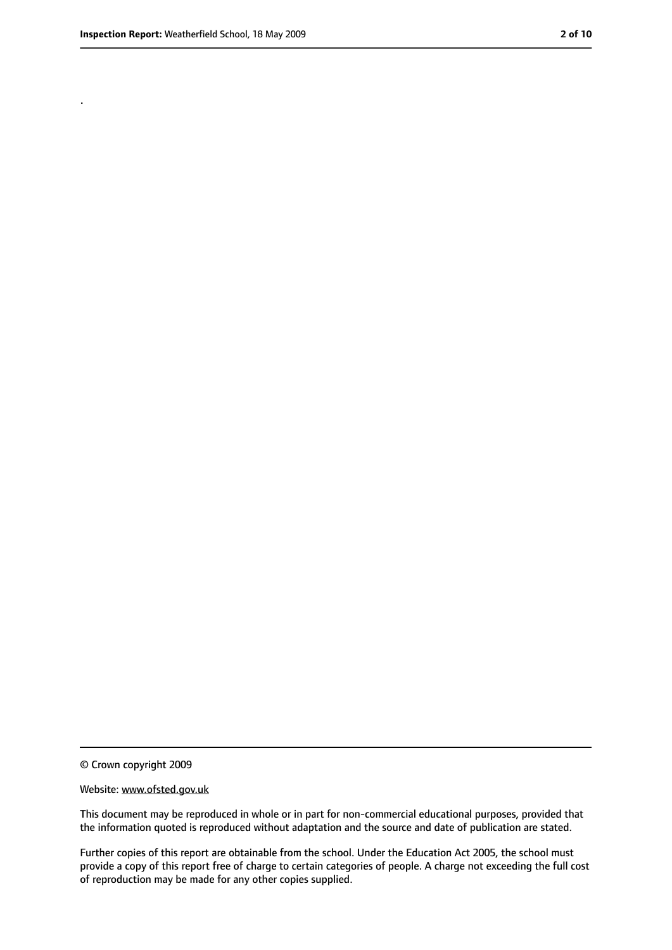.

<sup>©</sup> Crown copyright 2009

Website: www.ofsted.gov.uk

This document may be reproduced in whole or in part for non-commercial educational purposes, provided that the information quoted is reproduced without adaptation and the source and date of publication are stated.

Further copies of this report are obtainable from the school. Under the Education Act 2005, the school must provide a copy of this report free of charge to certain categories of people. A charge not exceeding the full cost of reproduction may be made for any other copies supplied.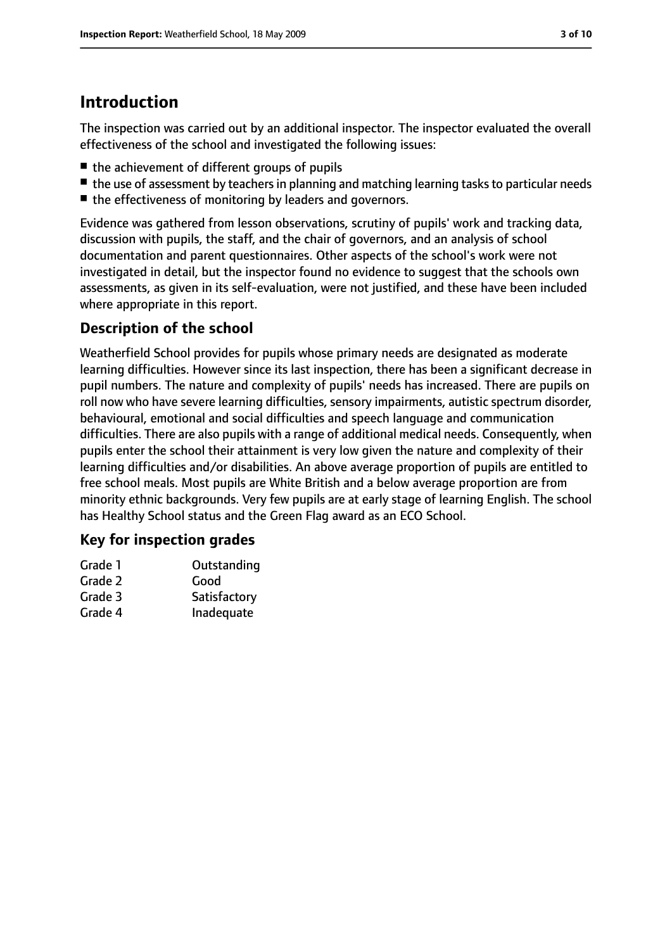# **Introduction**

The inspection was carried out by an additional inspector. The inspector evaluated the overall effectiveness of the school and investigated the following issues:

- the achievement of different groups of pupils
- the use of assessment by teachers in planning and matching learning tasks to particular needs
- the effectiveness of monitoring by leaders and governors.

Evidence was gathered from lesson observations, scrutiny of pupils' work and tracking data, discussion with pupils, the staff, and the chair of governors, and an analysis of school documentation and parent questionnaires. Other aspects of the school's work were not investigated in detail, but the inspector found no evidence to suggest that the schools own assessments, as given in its self-evaluation, were not justified, and these have been included where appropriate in this report.

#### **Description of the school**

Weatherfield School provides for pupils whose primary needs are designated as moderate learning difficulties. However since its last inspection, there has been a significant decrease in pupil numbers. The nature and complexity of pupils' needs has increased. There are pupils on roll now who have severe learning difficulties, sensory impairments, autistic spectrum disorder, behavioural, emotional and social difficulties and speech language and communication difficulties. There are also pupils with a range of additional medical needs. Consequently, when pupils enter the school their attainment is very low given the nature and complexity of their learning difficulties and/or disabilities. An above average proportion of pupils are entitled to free school meals. Most pupils are White British and a below average proportion are from minority ethnic backgrounds. Very few pupils are at early stage of learning English. The school has Healthy School status and the Green Flag award as an ECO School.

#### **Key for inspection grades**

| Grade 1 | Outstanding  |
|---------|--------------|
| Grade 2 | Good         |
| Grade 3 | Satisfactory |
| Grade 4 | Inadequate   |
|         |              |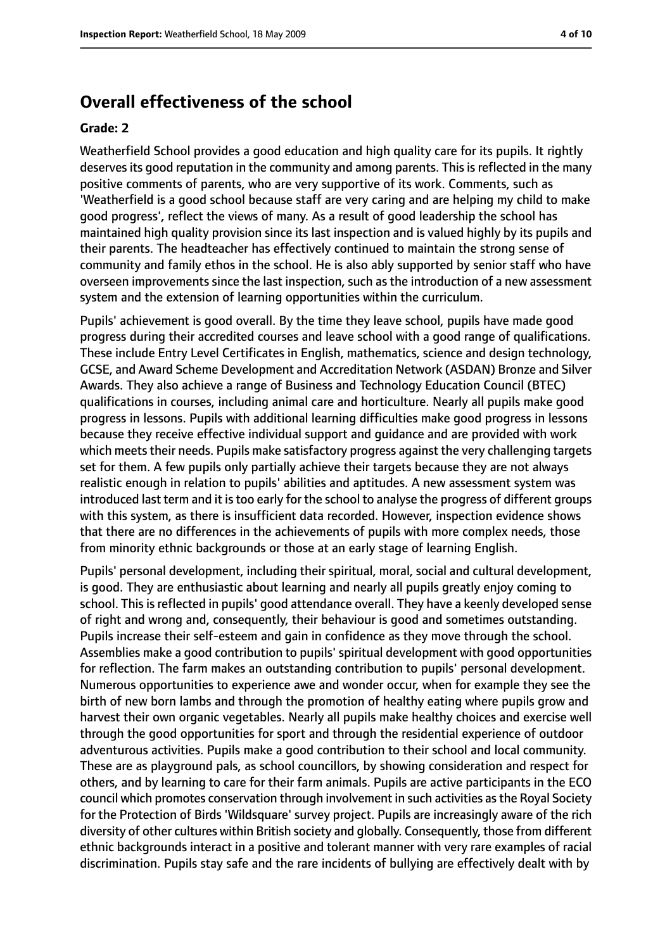#### **Overall effectiveness of the school**

#### **Grade: 2**

Weatherfield School provides a good education and high quality care for its pupils. It rightly deserves its good reputation in the community and among parents. This is reflected in the many positive comments of parents, who are very supportive of its work. Comments, such as 'Weatherfield is a good school because staff are very caring and are helping my child to make good progress', reflect the views of many. As a result of good leadership the school has maintained high quality provision since its last inspection and is valued highly by its pupils and their parents. The headteacher has effectively continued to maintain the strong sense of community and family ethos in the school. He is also ably supported by senior staff who have overseen improvements since the last inspection, such as the introduction of a new assessment system and the extension of learning opportunities within the curriculum.

Pupils' achievement is good overall. By the time they leave school, pupils have made good progress during their accredited courses and leave school with a good range of qualifications. These include Entry Level Certificates in English, mathematics, science and design technology, GCSE, and Award Scheme Development and Accreditation Network (ASDAN) Bronze and Silver Awards. They also achieve a range of Business and Technology Education Council (BTEC) qualifications in courses, including animal care and horticulture. Nearly all pupils make good progress in lessons. Pupils with additional learning difficulties make good progress in lessons because they receive effective individual support and guidance and are provided with work which meets their needs. Pupils make satisfactory progress against the very challenging targets set for them. A few pupils only partially achieve their targets because they are not always realistic enough in relation to pupils' abilities and aptitudes. A new assessment system was introduced last term and it is too early for the school to analyse the progress of different groups with this system, as there is insufficient data recorded. However, inspection evidence shows that there are no differences in the achievements of pupils with more complex needs, those from minority ethnic backgrounds or those at an early stage of learning English.

Pupils' personal development, including their spiritual, moral, social and cultural development, is good. They are enthusiastic about learning and nearly all pupils greatly enjoy coming to school. This is reflected in pupils' good attendance overall. They have a keenly developed sense of right and wrong and, consequently, their behaviour is good and sometimes outstanding. Pupils increase their self-esteem and gain in confidence as they move through the school. Assemblies make a good contribution to pupils' spiritual development with good opportunities for reflection. The farm makes an outstanding contribution to pupils' personal development. Numerous opportunities to experience awe and wonder occur, when for example they see the birth of new born lambs and through the promotion of healthy eating where pupils grow and harvest their own organic vegetables. Nearly all pupils make healthy choices and exercise well through the good opportunities for sport and through the residential experience of outdoor adventurous activities. Pupils make a good contribution to their school and local community. These are as playground pals, as school councillors, by showing consideration and respect for others, and by learning to care for their farm animals. Pupils are active participants in the ECO council which promotes conservation through involvement in such activities as the Royal Society for the Protection of Birds 'Wildsquare' survey project. Pupils are increasingly aware of the rich diversity of other cultures within British society and globally. Consequently, those from different ethnic backgrounds interact in a positive and tolerant manner with very rare examples of racial discrimination. Pupils stay safe and the rare incidents of bullying are effectively dealt with by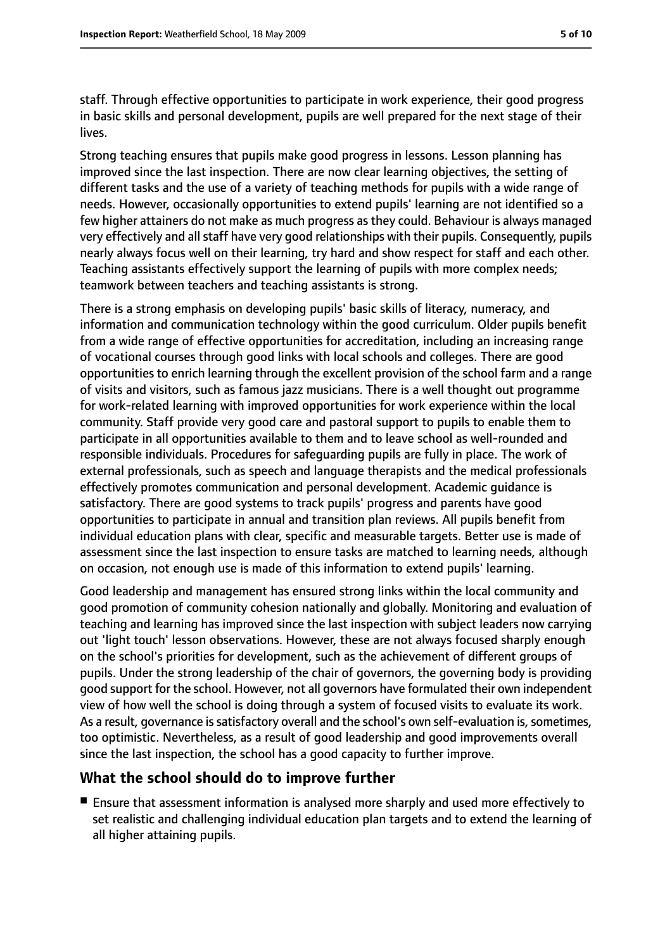staff. Through effective opportunities to participate in work experience, their good progress in basic skills and personal development, pupils are well prepared for the next stage of their lives.

Strong teaching ensures that pupils make good progress in lessons. Lesson planning has improved since the last inspection. There are now clear learning objectives, the setting of different tasks and the use of a variety of teaching methods for pupils with a wide range of needs. However, occasionally opportunities to extend pupils' learning are not identified so a few higher attainers do not make as much progress as they could. Behaviour is always managed very effectively and all staff have very good relationships with their pupils. Consequently, pupils nearly always focus well on their learning, try hard and show respect for staff and each other. Teaching assistants effectively support the learning of pupils with more complex needs; teamwork between teachers and teaching assistants is strong.

There is a strong emphasis on developing pupils' basic skills of literacy, numeracy, and information and communication technology within the good curriculum. Older pupils benefit from a wide range of effective opportunities for accreditation, including an increasing range of vocational courses through good links with local schools and colleges. There are good opportunities to enrich learning through the excellent provision of the school farm and a range of visits and visitors, such as famous jazz musicians. There is a well thought out programme for work-related learning with improved opportunities for work experience within the local community. Staff provide very good care and pastoral support to pupils to enable them to participate in all opportunities available to them and to leave school as well-rounded and responsible individuals. Procedures for safeguarding pupils are fully in place. The work of external professionals, such as speech and language therapists and the medical professionals effectively promotes communication and personal development. Academic guidance is satisfactory. There are good systems to track pupils' progress and parents have good opportunities to participate in annual and transition plan reviews. All pupils benefit from individual education plans with clear, specific and measurable targets. Better use is made of assessment since the last inspection to ensure tasks are matched to learning needs, although on occasion, not enough use is made of this information to extend pupils' learning.

Good leadership and management has ensured strong links within the local community and good promotion of community cohesion nationally and globally. Monitoring and evaluation of teaching and learning has improved since the last inspection with subject leaders now carrying out 'light touch' lesson observations. However, these are not always focused sharply enough on the school's priorities for development, such as the achievement of different groups of pupils. Under the strong leadership of the chair of governors, the governing body is providing good support for the school. However, not all governors have formulated their own independent view of how well the school is doing through a system of focused visits to evaluate its work. As a result, governance is satisfactory overall and the school's own self-evaluation is, sometimes, too optimistic. Nevertheless, as a result of good leadership and good improvements overall since the last inspection, the school has a good capacity to further improve.

#### **What the school should do to improve further**

■ Ensure that assessment information is analysed more sharply and used more effectively to set realistic and challenging individual education plan targets and to extend the learning of all higher attaining pupils.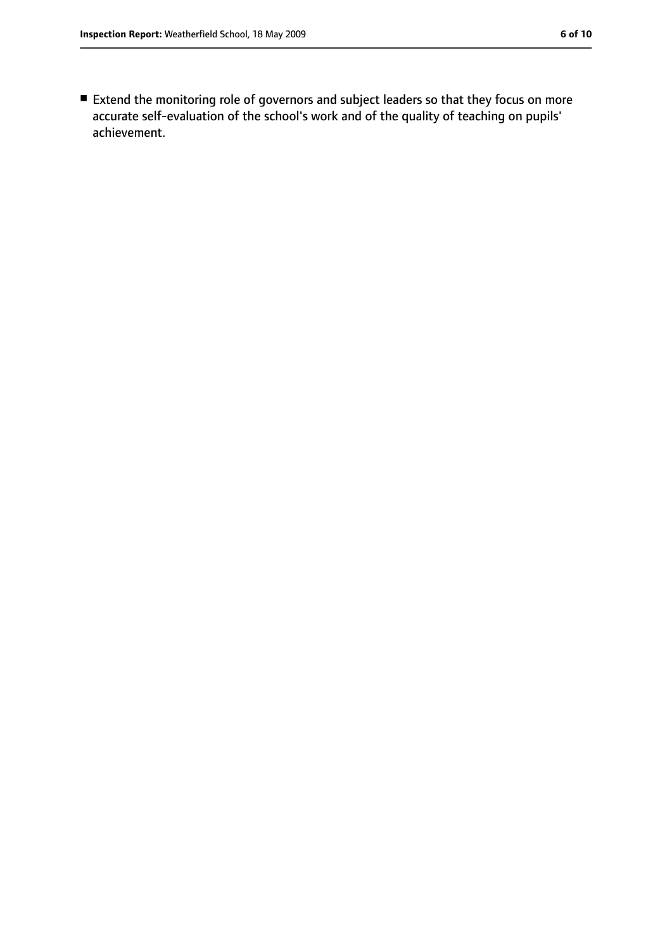■ Extend the monitoring role of governors and subject leaders so that they focus on more accurate self-evaluation of the school's work and of the quality of teaching on pupils' achievement.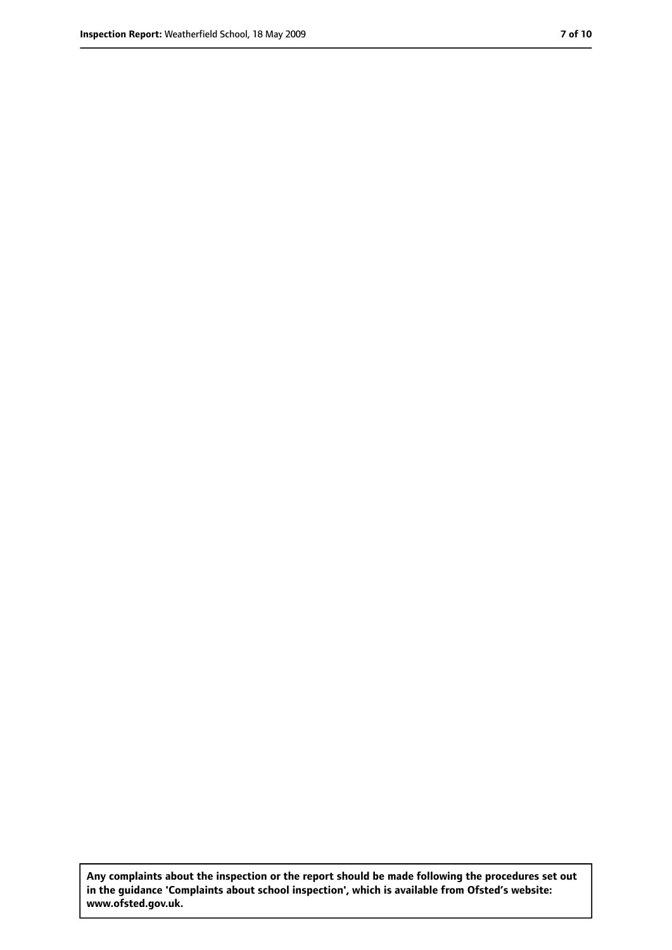**Any complaints about the inspection or the report should be made following the procedures set out in the guidance 'Complaints about school inspection', which is available from Ofsted's website: www.ofsted.gov.uk.**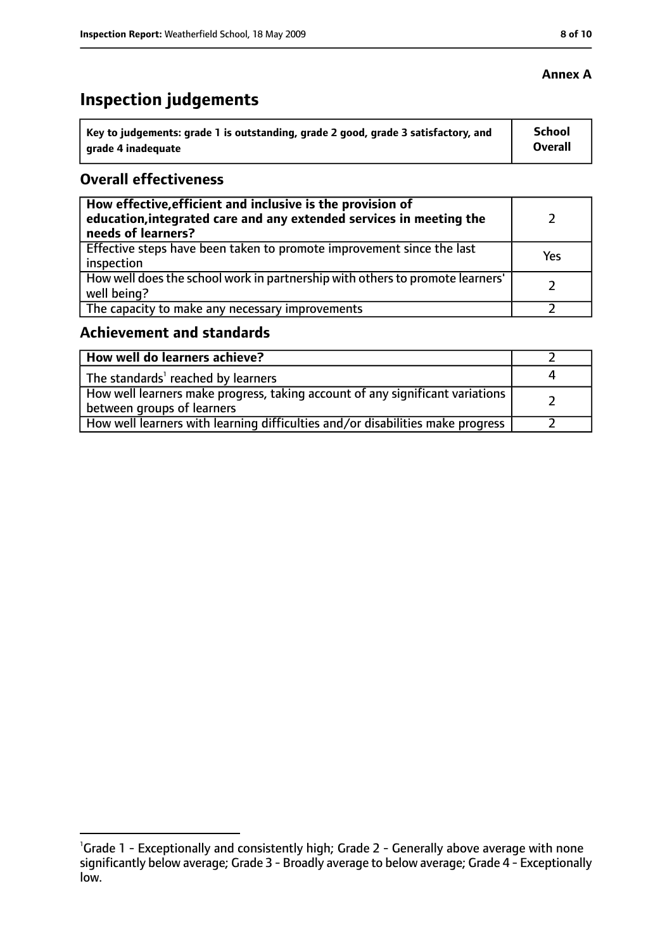#### **Annex A**

# **Inspection judgements**

| Key to judgements: grade 1 is outstanding, grade 2 good, grade 3 satisfactory, and | <b>School</b>  |
|------------------------------------------------------------------------------------|----------------|
| grade 4 inadequate                                                                 | <b>Overall</b> |

#### **Overall effectiveness**

| How effective, efficient and inclusive is the provision of<br>education, integrated care and any extended services in meeting the<br>needs of learners? |     |
|---------------------------------------------------------------------------------------------------------------------------------------------------------|-----|
| Effective steps have been taken to promote improvement since the last<br>inspection                                                                     | Yes |
| How well does the school work in partnership with others to promote learners'<br>well being?                                                            |     |
| The capacity to make any necessary improvements                                                                                                         |     |

#### **Achievement and standards**

| How well do learners achieve?                                                  |  |
|--------------------------------------------------------------------------------|--|
| The standards <sup>1</sup> reached by learners                                 |  |
| How well learners make progress, taking account of any significant variations  |  |
| between groups of learners                                                     |  |
| How well learners with learning difficulties and/or disabilities make progress |  |

<sup>&</sup>lt;sup>1</sup>Grade 1 - Exceptionally and consistently high; Grade 2 - Generally above average with none significantly below average; Grade 3 - Broadly average to below average; Grade 4 - Exceptionally low.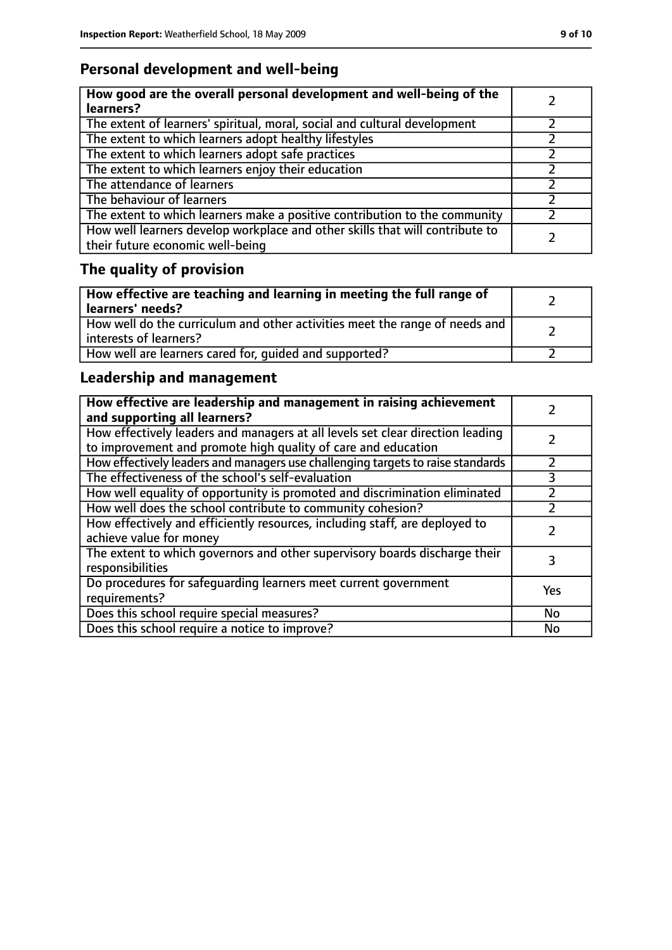### **Personal development and well-being**

| How good are the overall personal development and well-being of the<br>learners?                                 |  |
|------------------------------------------------------------------------------------------------------------------|--|
| The extent of learners' spiritual, moral, social and cultural development                                        |  |
| The extent to which learners adopt healthy lifestyles                                                            |  |
| The extent to which learners adopt safe practices                                                                |  |
| The extent to which learners enjoy their education                                                               |  |
| The attendance of learners                                                                                       |  |
| The behaviour of learners                                                                                        |  |
| The extent to which learners make a positive contribution to the community                                       |  |
| How well learners develop workplace and other skills that will contribute to<br>their future economic well-being |  |

# **The quality of provision**

| $\vert$ How effective are teaching and learning in meeting the full range of<br>  learners' needs?      |  |
|---------------------------------------------------------------------------------------------------------|--|
| How well do the curriculum and other activities meet the range of needs and<br>  interests of learners? |  |
| How well are learners cared for, quided and supported?                                                  |  |

### **Leadership and management**

| How effective are leadership and management in raising achievement<br>and supporting all learners?                                              |     |
|-------------------------------------------------------------------------------------------------------------------------------------------------|-----|
| How effectively leaders and managers at all levels set clear direction leading<br>to improvement and promote high quality of care and education |     |
| How effectively leaders and managers use challenging targets to raise standards                                                                 |     |
| The effectiveness of the school's self-evaluation                                                                                               | 3   |
| How well equality of opportunity is promoted and discrimination eliminated                                                                      |     |
| How well does the school contribute to community cohesion?                                                                                      |     |
| How effectively and efficiently resources, including staff, are deployed to<br>achieve value for money                                          |     |
| The extent to which governors and other supervisory boards discharge their<br>responsibilities                                                  |     |
| Do procedures for safeguarding learners meet current government<br>requirements?                                                                | Yes |
| Does this school require special measures?                                                                                                      | No  |
| Does this school require a notice to improve?                                                                                                   | No  |